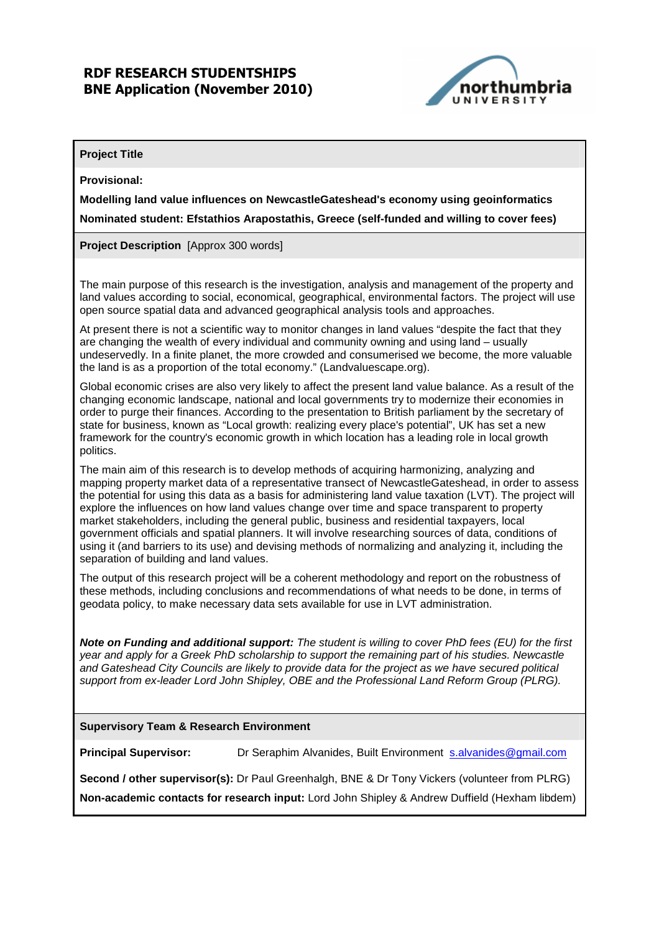### RDF RESEARCH STUDENTSHIPS BNE Application (November 2010)



#### **Project Title**

**Provisional:** 

**Modelling land value influences on NewcastleGateshead's economy using geoinformatics** 

**Nominated student: Efstathios Arapostathis, Greece (self-funded and willing to cover fees)** 

**Project Description** [Approx 300 words]

The main purpose of this research is the investigation, analysis and management of the property and land values according to social, economical, geographical, environmental factors. The project will use open source spatial data and advanced geographical analysis tools and approaches.

At present there is not a scientific way to monitor changes in land values "despite the fact that they are changing the wealth of every individual and community owning and using land – usually undeservedly. In a finite planet, the more crowded and consumerised we become, the more valuable the land is as a proportion of the total economy." (Landvaluescape.org).

Global economic crises are also very likely to affect the present land value balance. As a result of the changing economic landscape, national and local governments try to modernize their economies in order to purge their finances. According to the presentation to British parliament by the secretary of state for business, known as "Local growth: realizing every place's potential", UK has set a new framework for the country's economic growth in which location has a leading role in local growth politics.

The main aim of this research is to develop methods of acquiring harmonizing, analyzing and mapping property market data of a representative transect of NewcastleGateshead, in order to assess the potential for using this data as a basis for administering land value taxation (LVT). The project will explore the influences on how land values change over time and space transparent to property market stakeholders, including the general public, business and residential taxpayers, local government officials and spatial planners. It will involve researching sources of data, conditions of using it (and barriers to its use) and devising methods of normalizing and analyzing it, including the separation of building and land values.

The output of this research project will be a coherent methodology and report on the robustness of these methods, including conclusions and recommendations of what needs to be done, in terms of geodata policy, to make necessary data sets available for use in LVT administration.

**Note on Funding and additional support:** The student is willing to cover PhD fees (EU) for the first year and apply for a Greek PhD scholarship to support the remaining part of his studies. Newcastle and Gateshead City Councils are likely to provide data for the project as we have secured political support from ex-leader Lord John Shipley, OBE and the Professional Land Reform Group (PLRG).

#### **Supervisory Team & Research Environment**

**Principal Supervisor:** Dr Seraphim Alvanides, Built Environment salvanides@gmail.com

**Second / other supervisor(s):** Dr Paul Greenhalgh, BNE & Dr Tony Vickers (volunteer from PLRG) **Non-academic contacts for research input:** Lord John Shipley & Andrew Duffield (Hexham libdem)